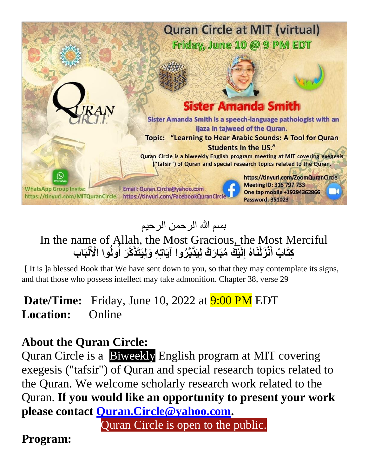

# بسم الله الرحمن الرحیم

#### In the name of Allah, the Most Gracious, the Most Merciful كِتَابٌ أَنْزَلْنَاهُ إِلَيْكَ مُبَارَكٌ لِيَدَّبَّرُوا آيَاتِهِ وَلِيَتَذَكَّرَ أُولُوا الْأَلْبَاب **ُ ُ**

[ It is ]a blessed Book that We have sent down to you, so that they may contemplate its signs, and that those who possess intellect may take admonition. Chapter 38, verse 29

### **Date/Time:** Friday, June 10, 2022 at **9:00 PM** EDT **Location:** Online

## **About the Quran Circle:**

Quran Circle is a Biweekly English program at MIT covering exegesis ("tafsir") of Quran and special research topics related to the Quran. We welcome scholarly research work related to the Quran. **If you would like an opportunity to present your work please contact [Quran.Circle@yahoo.com.](mailto:Quran.Circle@yahoo.com)** 

Quran Circle is open to the public.

#### **Program:**